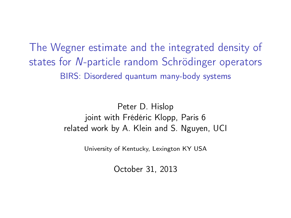The Wegner estimate and the integrated density of states for N-particle random Schrödinger operators BIRS: Disordered quantum many-body systems

> Peter D. Hislop joint with Frédéric Klopp, Paris 6 related work by A. Klein and S. Nguyen, UCI

> > University of Kentucky, Lexington KY USA

October 31, 2013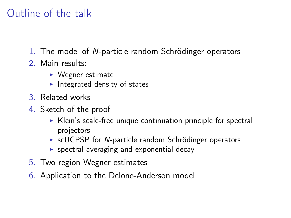# Outline of the talk

- 1. The model of N-particle random Schrödinger operators
- 2. Main results:
	- $\triangleright$  Wegner estimate
	- $\blacktriangleright$  Integrated density of states
- 3. Related works
- 4. Sketch of the proof
	- $\triangleright$  Klein's scale-free unique continuation principle for spectral projectors
	- $\triangleright$  scUCPSP for N-particle random Schrödinger operators
	- $\triangleright$  spectral averaging and exponential decay
- 5. Two region Wegner estimates
- 6. Application to the Delone-Anderson model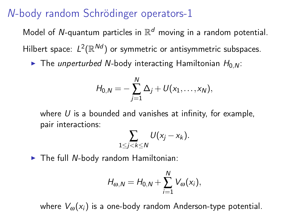# N-body random Schrödinger operators-1

Model of N-quantum particles in  $\mathbb{R}^d$  moving in a random potential. Hilbert space:  $L^2(\mathbb{R}^{Nd})$  or symmetric or antisymmetric subspaces.

 $\triangleright$  The unperturbed N-body interacting Hamiltonian  $H_{0,N}$ :

$$
H_{0,N}=-\sum_{j=1}^N\Delta_j+U(x_1,\ldots,x_N),
$$

where  $U$  is a bounded and vanishes at infinity, for example, pair interactions:

$$
\sum_{1\leq j < k\leq N} U(x_j - x_k).
$$

 $\blacktriangleright$  The full N-body random Hamiltonian:

$$
H_{\omega,N}=H_{0,N}+\sum_{i=1}^N V_{\omega}(x_i),
$$

where  $V_{\omega}(x_i)$  is a one-body random Anderson-type potential.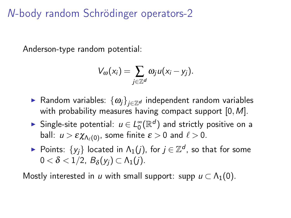N-body random Schrödinger operators-2

Anderson-type random potential:

$$
V_{\omega}(x_i)=\sum_{j\in\mathbb{Z}^d}\omega_ju(x_i-y_j).
$$

- ► Random variables:  $\{\omega_i\}_{i\in\mathbb{Z}^d}$  independent random variables with probability measures having compact support  $[0, M]$ .
- ► Single-site potential:  $u \in L_0^{\infty}({\mathbb R}^d)$  and strictly positive on a ball:  $u > \varepsilon \chi_{\Lambda_\ell(0)},$  some finite  $\varepsilon > 0$  and  $\ell > 0.$
- ► Points:  $\{y_j\}$  located in  $\Lambda_1(j)$ , for  $j \in \mathbb{Z}^d$ , so that for some  $0 < \delta < 1/2$ ,  $B_{\delta}(y_j) \subset \Lambda_1(j)$ .

Mostly interested in u with small support: supp  $u \subset \Lambda_1(0)$ .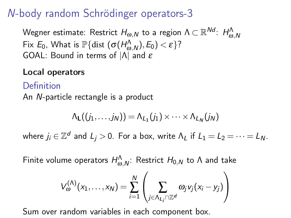# N-body random Schrödinger operators-3

Wegner estimate: Restrict  $H_{\omega,N}$  to a region  $\Lambda \subset \mathbb{R}^{Nd}$ :  $H^\Lambda_{\omega,N}$ Fix  $E_0$ , What is  $\mathbb{P}\{\text{dist}(\sigma(H^{\Lambda}_{\omega,N}),E_0) < \varepsilon\}$ ? GOAL: Bound in terms of |Λ| and ε

### Local operators

## Definition An N-particle rectangle is a product

$$
\Lambda_{\mathsf{L}}((j_1,\ldots,j_N))=\Lambda_{L_1}(j_1)\times\cdots\times\Lambda_{L_N}(j_N)
$$

where  $j_i \in \mathbb{Z}^d$  and  $L_j > 0$ . For a box, write  $\Lambda_L$  if  $L_1 = L_2 = \cdots = L_N$ .

Finite volume operators  $H^\Lambda_{\omega, N}$ : Restrict  $H_{0,N}$  to  $\Lambda$  and take

$$
V_{\omega}^{(\Lambda)}(x_1,\ldots,x_N)=\sum_{i=1}^N\left(\sum_{j\in\Lambda_{L_i}\cap\mathbb{Z}^d}\omega_jv_j(x_i-y_j)\right)
$$

Sum over random variables in each component box.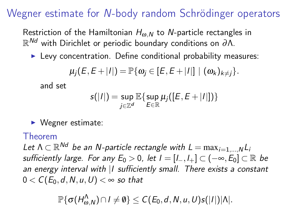# Wegner estimate for N-body random Schrödinger operators

Restriction of the Hamiltonian  $H_{\omega,N}$  to N-particle rectangles in  $\mathbb{R}^{\mathcal{N}d}$  with Dirichlet or periodic boundary conditions on  $\partial\Lambda.$ 

 $\blacktriangleright$  Levy concentration. Define conditional probability measures:

$$
\mu_j(E,E+|I|)=\mathbb{P}\{\omega_j\in [E,E+|I|]\mid (\omega_k)_{k\neq j}\}.
$$

and set

$$
s(|I|) = \sup_{j \in \mathbb{Z}^d} \mathbb{E} \{ \sup_{E \in \mathbb{R}} \mu_j([E, E + |I|]) \}
$$

 $\blacktriangleright$  Wegner estimate:

### Theorem

Let  $\Lambda \subset \mathbb{R}^{Nd}$  be an N-particle rectangle with  $L = \max_{i=1,...,N} L_i$ sufficiently large. For any  $E_0 > 0$ , let  $I = [I_-, I_+] \subset (-\infty, E_0] \subset \mathbb{R}$  be an energy interval with | I sufficiently small. There exists a constant  $0 < C(E_0, d, N, u, U) < \infty$  so that

 $\mathbb{P}\{\sigma(H^{\Lambda}_{\omega,N})\cap I\neq\emptyset\}\leq C(\bar{E}_0,d,N,u,U)s(|I|)|\Lambda|.$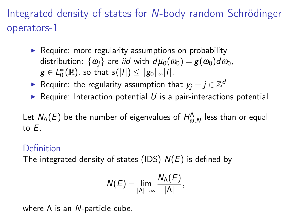Integrated density of states for N-body random Schrödinger operators-1

- $\triangleright$  Require: more regularity assumptions on probability distribution:  $\{\omega_i\}$  are *iid* with  $d\mu_0(\omega_0) = g(\omega_0)d\omega_0$ ,  $g\in L^\infty_0(\mathbb{R})$ , so that  $s(|I|)\leq \|g_0\|_\infty |I|.$
- ► Require: the regularity assumption that  $y_j = j \in \mathbb{Z}^d$
- $\triangleright$  Require: Interaction potential U is a pair-interactions potential

Let  $N_\Lambda(E)$  be the number of eigenvalues of  $H^\Lambda_{\omega,N}$  less than or equal to E.

#### Definition

The integrated density of states (IDS)  $N(E)$  is defined by

$$
N(E)=\lim_{|\Lambda|\to\infty}\frac{N_{\Lambda}(E)}{|\Lambda|},
$$

where  $Λ$  is an N-particle cube.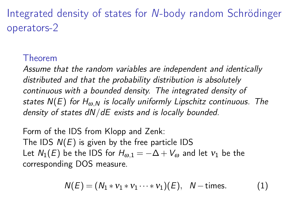Integrated density of states for N-body random Schrödinger operators-2

### Theorem

Assume that the random variables are independent and identically distributed and that the probability distribution is absolutely continuous with a bounded density. The integrated density of states  $N(E)$  for  $H_{\omega N}$  is locally uniformly Lipschitz continuous. The density of states dN/dE exists and is locally bounded.

Form of the IDS from Klopp and Zenk: The IDS  $N(E)$  is given by the free particle IDS Let  $N_1(E)$  be the IDS for  $H_{\omega,1} = -\Delta + V_{\omega}$  and let  $v_1$  be the corresponding DOS measure.

$$
N(E) = (N_1 * v_1 * v_1 \cdots * v_1)(E), N-times.
$$
 (1)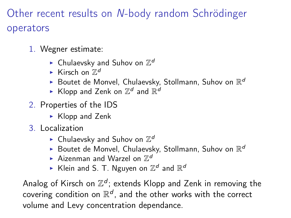Other recent results on N-body random Schrödinger operators

- 1. Wegner estimate:
	- $\blacktriangleright$  Chulaevsky and Suhov on  $\mathbb{Z}^d$
	- Kirsch on  $\mathbb{Z}^d$
	- Boutet de Monvel, Chulaevsky, Stollmann, Suhov on  $\mathbb{R}^d$
	- $\blacktriangleright$  Klopp and Zenk on  $\mathbb{Z}^d$  and  $\mathbb{R}^d$
- 2. Properties of the IDS
	- $\triangleright$  Klopp and Zenk
- 3. Localization
	- $\blacktriangleright$  Chulaevsky and Suhov on  $\mathbb{Z}^d$
	- Boutet de Monvel, Chulaevsky, Stollmann, Suhov on  $\mathbb{R}^d$
	- $\blacktriangleright$  Aizenman and Warzel on  $\mathbb{Z}^d$
	- $\blacktriangleright$  Klein and S. T. Nguyen on  $\mathbb{Z}^d$  and  $\mathbb{R}^d$

Analog of Kirsch on  $\mathbb{Z}^d$ ; extends Klopp and Zenk in removing the covering condition on  $\mathbb{R}^d$ , and the other works with the correct volume and Levy concentration dependance.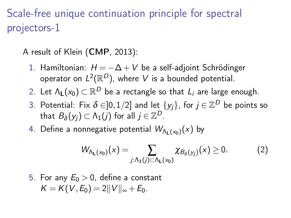# Scale-free unique continuation principle for spectral projectors-1

A result of Klein (CMP, 2013):

- 1. Hamiltonian:  $H = -\Delta + V$  be a self-adjoint Schrödinger operator on  $L^2(\mathbb{R}^D)$ , where  $V$  is a bounded potential.
- 2. Let  $\Lambda_{\mathsf{L}}(\mathsf{x}_0) \subset \mathbb{R}^D$  be a rectangle so that  $L_i$  are large enough.
- 3. Potential: Fix  $\delta\in]0,1/2]$  and let  $\{y_j\}$ , for  $j\in\mathbb{Z}^D$  be points so that  $B_\delta(y_j)\subset \Lambda_1(j)$  for all  $j\in \mathbb{Z}^D$ .
- 4. Define a nonnegative potential  $\mathcal{W}_{\Lambda_{\mathsf{L}}(x_0)}(x)$  by

$$
W_{\Lambda_{L}(x_{0})}(x) = \sum_{j:\Lambda_{1}(j)\subset\Lambda_{L}(x_{0})}\chi_{B_{\delta}(y_{j})}(x) \geq 0.
$$
 (2)

5. For any  $E_0 > 0$ , define a constant  $K = K(V, E_0) = 2||V||_{\infty} + E_0.$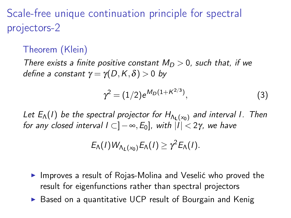Scale-free unique continuation principle for spectral projectors-2

### Theorem (Klein)

There exists a finite positive constant  $M_D > 0$ , such that, if we define a constant  $\gamma = \gamma(D,K,\delta) > 0$  by

$$
\gamma^2 = (1/2)e^{M_D(1 + K^{2/3})},\tag{3}
$$

Let  $E_{\Lambda}(I)$  be the spectral projector for  $H_{\Lambda_1(x_0)}$  and interval I. Then for any closed interval  $I \subset ]-\infty, E_0]$ , with  $|I| < 2\gamma$ , we have

$$
E_{\Lambda}(I)W_{\Lambda_L(x_0)}E_{\Lambda}(I)\geq \gamma^2E_{\Lambda}(I).
$$

- $\blacktriangleright$  Improves a result of Rojas-Molina and Veselić who proved the result for eigenfunctions rather than spectral projectors
- $\triangleright$  Based on a quantitative UCP result of Bourgain and Kenig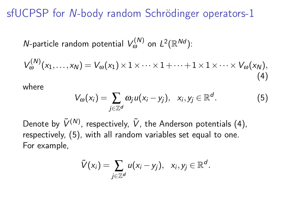# sfUCPSP for N-body random Schrödinger operators-1

*N*-particle random potential  $V_{\omega}^{(N)}$  on  $L^2(\mathbb{R}^{Nd})$ :

<span id="page-11-0"></span>
$$
V_{\omega}^{(N)}(x_1,\ldots,x_N)=V_{\omega}(x_1)\times 1\times\cdots\times 1+\cdots+1\times 1\times\cdots\times V_{\omega}(x_N),
$$
\n(4)

where

<span id="page-11-1"></span>
$$
V_{\omega}(x_i) = \sum_{j \in \mathbb{Z}^d} \omega_j u(x_i - y_j), \quad x_i, y_j \in \mathbb{R}^d. \tag{5}
$$

Denote by  $\tilde{V}^{(N)}$ , respectively,  $\tilde{V}$ , the Anderson potentials [\(4\)](#page-11-0), respectively, [\(5\)](#page-11-1), with all random variables set equal to one. For example,

$$
\tilde{V}(x_i) = \sum_{j\in\mathbb{Z}^d} u(x_i - y_j), \ \ x_i, y_j \in \mathbb{R}^d.
$$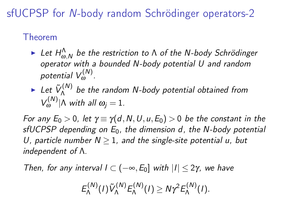sfUCPSP for N-body random Schrödinger operators-2

## Theorem

- $\blacktriangleright$  Let  $H_{\omega,N}^{\Lambda}$  be the restriction to  $\Lambda$  of the N-body Schrödinger operator with a bounded N-body potential U and random potential  $V^{(N)}_{\omega}$ .
- $\blacktriangleright$  Let  $\tilde{V}^{(N)}_{\Lambda}$  $\Lambda^{(N)}$  be the random N-body potential obtained from  $V_{\omega}^{(N)}|\Lambda$  with all  $\omega_j=1$ .

For any  $E_0 > 0$ , let  $\gamma \equiv \gamma(d, N, U, u, E_0) > 0$  be the constant in the sfUCPSP depending on  $E_0$ , the dimension d, the N-body potential U, particle number  $N > 1$ , and the single-site potential u, but independent of Λ.

Then, for any interval  $I \subset (-\infty, E_0]$  with  $|I| \leq 2\gamma$ , we have

$$
E_{\Lambda}^{(N)}(I)\tilde{V}_{\Lambda}^{(N)}E_{\Lambda}^{(N)}(I)\geq N\gamma^2E_{\Lambda}^{(N)}(I).
$$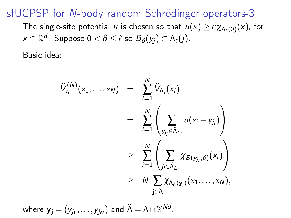sfUCPSP for N-body random Schrödinger operators-3

The single-site potential  $u$  is chosen so that  $u(x)\geq \varepsilon \chi_{\Lambda_\ell(0)}(x)$ , for  $\mathsf{x} \in \mathbb{R}^{\mathcal{d}}$ . Suppose  $0 < \delta \leq \ell$  so  $B_\delta(\mathsf{y}_j) \subset \mathsf{\Lambda}_{\ell} (j).$ 

Basic idea:

$$
\tilde{V}_{\Lambda}^{(N)}(x_1,...,x_N) = \sum_{i=1}^N \tilde{V}_{\Lambda_i}(x_i)
$$
\n
$$
= \sum_{i=1}^N \left( \sum_{y_{j_i} \in \tilde{\Lambda}_{L_i}} u(x_i - y_{j_i}) \right)
$$
\n
$$
\geq \sum_{i=1}^N \left( \sum_{j_i \in \tilde{\Lambda}_{L_i}} \chi_{B(y_{j_i}, \delta)}(x_i) \right)
$$
\n
$$
\geq N \sum_{j \in \tilde{\Lambda}} \chi_{\Lambda_{\delta}(y_j)}(x_1,...,x_N),
$$

where 
$$
y_j = (y_{j_1}, \ldots, y_{j_N})
$$
 and  $\tilde{\Lambda} = \Lambda \cap \mathbb{Z}^{Nd}$ .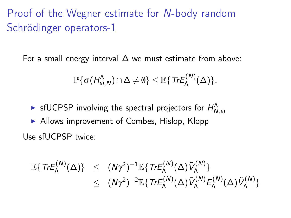For a small energy interval  $\Delta$  we must estimate from above:

$$
\mathbb{P}\{\sigma(H^{\Lambda}_{\omega,N})\cap\Delta\neq\emptyset\}\leq \mathbb{E}\{\textit{Tr}E^{(N)}_{\Lambda}(\Delta)\}.
$$

- $\blacktriangleright$  sfUCPSP involving the spectral projectors for  $H^\Lambda_{N,\omega}$
- $\blacktriangleright$  Allows improvement of Combes, Hislop, Klopp Use sfUCPSP twice:

$$
\mathbb{E}\lbrace TrE_{\Lambda}^{(N)}(\Delta)\rbrace \leq (N\gamma^2)^{-1}\mathbb{E}\lbrace TrE_{\Lambda}^{(N)}(\Delta)\tilde{V}_{\Lambda}^{(N)}\rbrace \leq (N\gamma^2)^{-2}\mathbb{E}\lbrace TrE_{\Lambda}^{(N)}(\Delta)\tilde{V}_{\Lambda}^{(N)}E_{\Lambda}^{(N)}(\Delta)\tilde{V}_{\Lambda}^{(N)}\rbrace
$$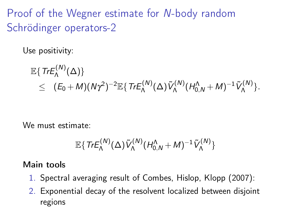Use positivity:

$$
\mathbb{E}\left\{\operatorname{Tr}\mathsf{E}_{\Lambda}^{(N)}(\Delta)\right\}\\\leq (E_0+M)(N\gamma^2)^{-2}\mathbb{E}\left\{\operatorname{Tr}\mathsf{E}_{\Lambda}^{(N)}(\Delta)\tilde{V}_{\Lambda}^{(N)}(H_{0,N}^{\Lambda}+M)^{-1}\tilde{V}_{\Lambda}^{(N)}\right\}.
$$

We must estimate:

$$
\mathbb{E}\{\textit{Tr}E_{\Lambda}^{(N)}(\Delta)\tilde{V}_{\Lambda}^{(N)}(H_{0,N}^{\Lambda}+M)^{-1}\tilde{V}_{\Lambda}^{(N)}\}
$$

#### Main tools

- 1. Spectral averaging result of Combes, Hislop, Klopp (2007):
- 2. Exponential decay of the resolvent localized between disjoint regions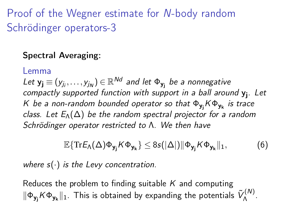### Spectral Averaging:

#### Lemma

Let  $\mathsf{y}_{\mathbf{j}} \equiv (y_{j_i}, \ldots, y_{j_{\mathsf{N}}}) \in \mathbb{R}^{\mathsf{N} d}$  and let  $\mathsf{\Phi}_{\mathsf{y}_{\mathbf{j}}}$  be a nonnegative compactly supported function with support in a ball around y<sup>j</sup> . Let K be a non-random bounded operator so that Φ<sub>yj</sub>KΦ<sub>yk</sub> is trace class. Let  $E_{\Lambda}(\Delta)$  be the random spectral projector for a random Schrödinger operator restricted to Λ. We then have

$$
\mathbb{E}\{\mathrm{Tr}E_{\Lambda}(\Delta)\Phi_{\mathbf{y}_{j}}K\Phi_{\mathbf{y}_{k}}\}\leq 8s(|\Delta|)\|\Phi_{\mathbf{y}_{j}}K\Phi_{\mathbf{y}_{k}}\|_{1},
$$
 (6)

where  $s(\cdot)$  is the Levy concentration.

Reduces the problem to finding suitable  $K$  and computing  $\|\Phi_{\mathbf{y_j}}K\Phi_{\mathbf{y_k}}\|_1$ . This is obtained by expanding the potentials  $\tilde{V}^{(N)}_\Lambda$ <sup>((Ν)</sup>.<br>Λ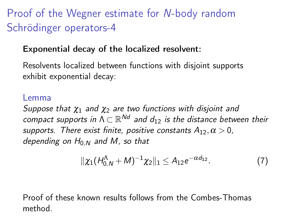### Exponential decay of the localized resolvent:

Resolvents localized between functions with disjoint supports exhibit exponential decay:

#### Lemma

Suppose that  $\chi_1$  and  $\chi_2$  are two functions with disjoint and compact supports in  $\Lambda \subset \mathbb{R}^{Nd}$  and  $d_{12}$  is the distance between their supports. There exist finite, positive constants  $A_{12}, \alpha > 0$ , depending on  $H_{0,N}$  and M, so that

$$
\|\chi_1(H_{0,N}^{\Lambda}+M)^{-1}\chi_2\|_1\leq A_{12}e^{-\alpha d_{12}}.\tag{7}
$$

Proof of these known results follows from the Combes-Thomas method.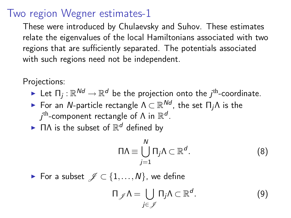## Two region Wegner estimates-1

These were introduced by Chulaevsky and Suhov. These estimates relate the eigenvalues of the local Hamiltonians associated with two regions that are sufficiently separated. The potentials associated with such regions need not be independent.

Projections:

- $\blacktriangleright$  Let  $\Pi_j: \mathbb{R}^{Nd} \to \mathbb{R}^d$  be the projection onto the  $j^{\text{th}}$ -coordinate.
- $\blacktriangleright$  For an N-particle rectangle  $\Lambda\subset\mathbb{R}^{Nd}$ , the set  $\Pi_j\Lambda$  is the  $j^\text{th}$ -component rectangle of  $\Lambda$  in  $\mathbb{R}^d$ .
- $\blacktriangleright$   $\Pi\Lambda$  is the subset of  $\mathbb{R}^d$  defined by

$$
\Pi \Lambda \equiv \bigcup_{j=1}^{N} \Pi_j \Lambda \subset \mathbb{R}^d. \tag{8}
$$

► For a subset  $\mathscr{J} \subset \{1,\ldots,N\}$ , we define

$$
\Pi_{\mathscr{J}} \Lambda = \bigcup_{j \in \mathscr{J}} \Pi_j \Lambda \subset \mathbb{R}^d. \tag{9}
$$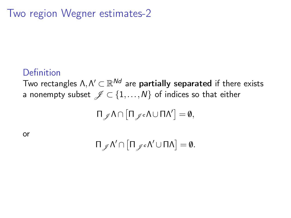Two region Wegner estimates-2

### Definition

Two rectangles  $\Lambda, \Lambda^\prime \subset \mathbb{R}^{Nd}$  are  $\mathsf{partially}$  separated if there exists a nonempty subset  $\mathcal{J} \subset \{1,\ldots,N\}$  of indices so that either

 $\Pi_{\mathscr{J}} \Lambda \cap \left[\Pi_{\mathscr{J}} \circ \Lambda \cup \Pi \Lambda' \right] = \emptyset,$ 

or

$$
\Pi_{\mathscr{J}}\Lambda'\cap\big[\Pi_{\mathscr{J}^c}\Lambda'\cup\Pi\Lambda\big]=\emptyset.
$$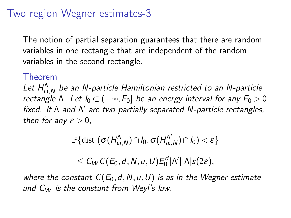## Two region Wegner estimates-3

The notion of partial separation guarantees that there are random variables in one rectangle that are independent of the random variables in the second rectangle.

#### Theorem

Let  $H_{\omega,N}^{\wedge}$  be an N-particle Hamiltonian restricted to an N-particle rectangle Λ. Let  $I_0 \subset (-\infty, E_0]$  be an energy interval for any  $E_0 > 0$ fixed. If A and N' are two partially separated N-particle rectangles, then for any  $\varepsilon > 0$ ,

$$
\mathbb{P}\{\text{dist }(\sigma(H^{\Lambda}_{\omega,N})\cap I_0, \sigma(H^{\Lambda'}_{\omega,N})\cap I_0)<\varepsilon\}
$$

 $\leq C_W C(E_0, d, N, u, U) E_0^d |\Lambda'| |\Lambda| s(2\varepsilon),$ 

where the constant  $C(E_0,d,N,u,U)$  is as in the Wegner estimate and  $C_W$  is the constant from Weyl's law.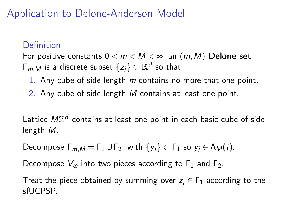# Application to Delone-Anderson Model

# Definition

For positive constants  $0 < m < M < \infty$ , an  $(m, M)$  Delone set  $\mathsf{\Gamma}_{m,M}$  is a discrete subset  $\{z_j\}\subset\mathbb{R}^d$  so that

- 1. Any cube of side-length  $m$  contains no more that one point,
- 2. Any cube of side length M contains at least one point.

Lattice  $M\mathbb{Z}^d$  contains at least one point in each basic cube of side length M.

Decompose  $\Gamma_{m,M} = \Gamma_1 \cup \Gamma_2$ , with  $\{y_i\} \subset \Gamma_1$  so  $y_i \in \Lambda_M(i)$ .

Decompose  $V_{\omega}$  into two pieces according to  $\Gamma_1$  and  $\Gamma_2$ .

Treat the piece obtained by summing over  $z_i \in \Gamma_1$  according to the sfUCPSP.